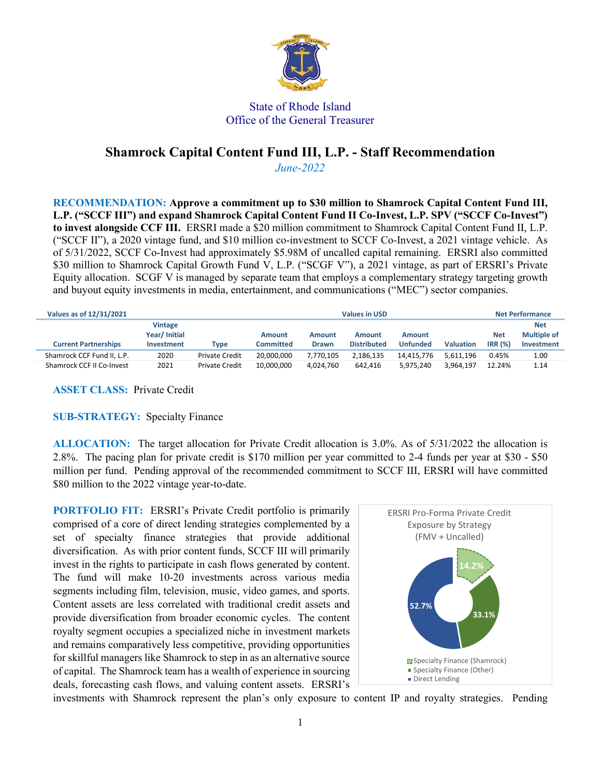

## State of Rhode Island Office of the General Treasurer

## **Shamrock Capital Content Fund III, L.P. - Staff Recommendation**

*June-2022* 

**RECOMMENDATION: Approve a commitment up to \$30 million to Shamrock Capital Content Fund III, L.P. ("SCCF III") and expand Shamrock Capital Content Fund II Co-Invest, L.P. SPV ("SCCF Co-Invest") to invest alongside CCF III.** ERSRI made a \$20 million commitment to Shamrock Capital Content Fund II, L.P. ("SCCF II"), a 2020 vintage fund, and \$10 million co-investment to SCCF Co-Invest, a 2021 vintage vehicle. As of 5/31/2022, SCCF Co-Invest had approximately \$5.98M of uncalled capital remaining. ERSRI also committed \$30 million to Shamrock Capital Growth Fund V, L.P. ("SCGF V"), a 2021 vintage, as part of ERSRI's Private Equity allocation. SCGF V is managed by separate team that employs a complementary strategy targeting growth and buyout equity investments in media, entertainment, and communications ("MEC") sector companies.

| Values as of 12/31/2021     | <b>Values in USD</b>                          |                       |                            |                               |                              |                           |                  | <b>Net Performance</b> |                                                       |
|-----------------------------|-----------------------------------------------|-----------------------|----------------------------|-------------------------------|------------------------------|---------------------------|------------------|------------------------|-------------------------------------------------------|
| <b>Current Partnerships</b> | Vintage<br>Year/ Initial<br><b>Investment</b> | Type                  | <b>Amount</b><br>Committed | <b>Amount</b><br><b>Drawn</b> | Amount<br><b>Distributed</b> | Amount<br><b>Unfunded</b> | <b>Valuation</b> | <b>Net</b><br>IRR(%)   | <b>Net</b><br><b>Multiple of</b><br><b>Investment</b> |
| Shamrock CCF Fund II, L.P.  | 2020                                          | <b>Private Credit</b> | 20.000.000                 | 7.770.105                     | 2.186.135                    | 14.415.776                | 5.611.196        | 0.45%                  | 1.00                                                  |
| Shamrock CCF II Co-Invest   | 2021                                          | <b>Private Credit</b> | 10.000.000                 | 4.024.760                     | 642.416                      | 5.975.240                 | 3.964.197        | 12.24%                 | 1.14                                                  |

**ASSET CLASS:** Private Credit

**SUB-STRATEGY:** Specialty Finance

**ALLOCATION:** The target allocation for Private Credit allocation is 3.0%. As of 5/31/2022 the allocation is 2.8%. The pacing plan for private credit is \$170 million per year committed to 2-4 funds per year at \$30 - \$50 million per fund. Pending approval of the recommended commitment to SCCF III, ERSRI will have committed \$80 million to the 2022 vintage year-to-date.

**PORTFOLIO FIT:** ERSRI's Private Credit portfolio is primarily comprised of a core of direct lending strategies complemented by a set of specialty finance strategies that provide additional diversification. As with prior content funds, SCCF III will primarily invest in the rights to participate in cash flows generated by content. The fund will make 10-20 investments across various media segments including film, television, music, video games, and sports. Content assets are less correlated with traditional credit assets and provide diversification from broader economic cycles. The content royalty segment occupies a specialized niche in investment markets and remains comparatively less competitive, providing opportunities for skillful managers like Shamrock to step in as an alternative source of capital. The Shamrock team has a wealth of experience in sourcing deals, forecasting cash flows, and valuing content assets. ERSRI's



investments with Shamrock represent the plan's only exposure to content IP and royalty strategies. Pending